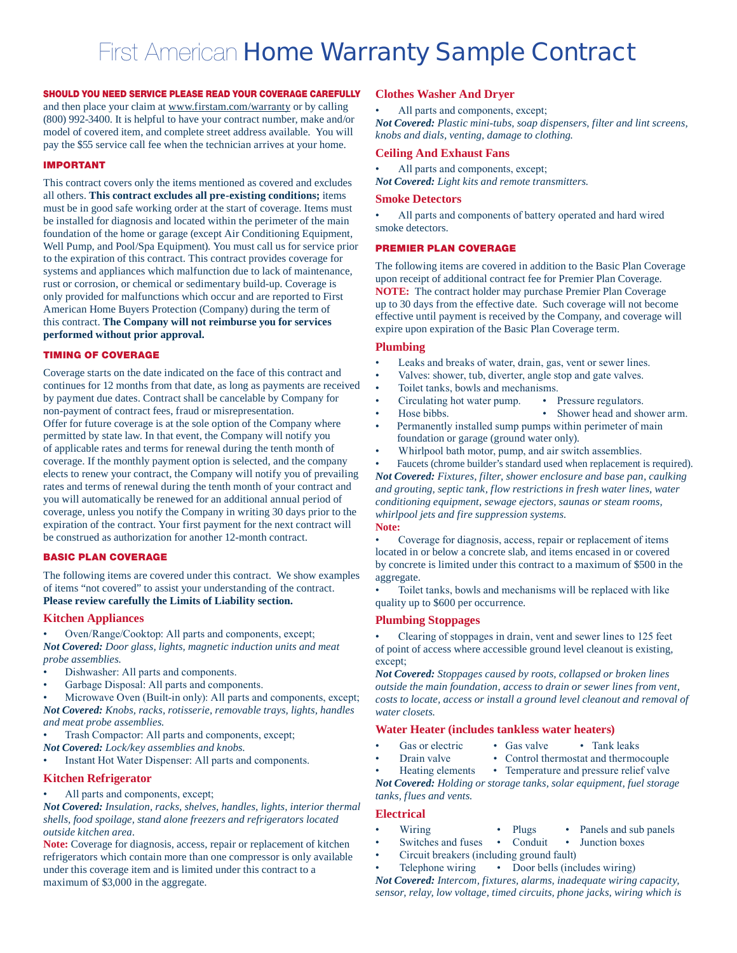# First American Home Warranty Sample Contract

## SHOULD YOU NEED SERVICE PLEASE READ YOUR COVERAGE CAREFULLY

and then place your claim at www.firstam.com/warranty or by calling (800) 992-3400. It is helpful to have your contract number, make and/or model of covered item, and complete street address available. You will pay the \$55 service call fee when the technician arrives at your home.

#### IMPORTANT

This contract covers only the items mentioned as covered and excludes all others. **This contract excludes all pre-existing conditions;** items must be in good safe working order at the start of coverage. Items must be installed for diagnosis and located within the perimeter of the main foundation of the home or garage (except Air Conditioning Equipment, Well Pump, and Pool/Spa Equipment). You must call us for service prior to the expiration of this contract. This contract provides coverage for systems and appliances which malfunction due to lack of maintenance, rust or corrosion, or chemical or sedimentary build-up. Coverage is only provided for malfunctions which occur and are reported to First American Home Buyers Protection (Company) during the term of this contract. **The Company will not reimburse you for services performed without prior approval.**

## TIMING OF COVERAGE

Coverage starts on the date indicated on the face of this contract and continues for 12 months from that date, as long as payments are received by payment due dates. Contract shall be cancelable by Company for non-payment of contract fees, fraud or misrepresentation. Offer for future coverage is at the sole option of the Company where permitted by state law. In that event, the Company will notify you of applicable rates and terms for renewal during the tenth month of coverage. If the monthly payment option is selected, and the company elects to renew your contract, the Company will notify you of prevailing rates and terms of renewal during the tenth month of your contract and you will automatically be renewed for an additional annual period of coverage, unless you notify the Company in writing 30 days prior to the expiration of the contract. Your first payment for the next contract will be construed as authorization for another 12-month contract.

## BASIC PLAN COVERAGE

The following items are covered under this contract. We show examples of items "not covered" to assist your understanding of the contract. **Please review carefully the Limits of Liability section.**

#### **Kitchen Appliances**

Oven/Range/Cooktop: All parts and components, except; *Not Covered: Door glass, lights, magnetic induction units and meat probe assemblies.*

- Dishwasher: All parts and components.
- Garbage Disposal: All parts and components.
- Microwave Oven (Built-in only): All parts and components, except; *Not Covered: Knobs, racks, rotisserie, removable trays, lights, handles and meat probe assemblies.*
- Trash Compactor: All parts and components, except;
- *Not Covered: Lock/key assemblies and knobs*.
- Instant Hot Water Dispenser: All parts and components.

#### **Kitchen Refrigerator**

All parts and components, except;

*Not Covered: Insulation, racks, shelves, handles, lights, interior thermal shells, food spoilage, stand alone freezers and refrigerators located outside kitchen area.*

**Note:** Coverage for diagnosis, access, repair or replacement of kitchen refrigerators which contain more than one compressor is only available under this coverage item and is limited under this contract to a maximum of \$3,000 in the aggregate.

#### **Clothes Washer And Dryer**

• All parts and components, except;

*Not Covered: Plastic mini-tubs, soap dispensers, filter and lint screens, knobs and dials, venting, damage to clothing.*

## **Ceiling And Exhaust Fans**

All parts and components, except;

*Not Covered: Light kits and remote transmitters.*

#### **Smoke Detectors**

All parts and components of battery operated and hard wired smoke detectors.

### PREMIER PLAN COVERAGE

The following items are covered in addition to the Basic Plan Coverage upon receipt of additional contract fee for Premier Plan Coverage. **NOTE:** The contract holder may purchase Premier Plan Coverage up to 30 days from the effective date. Such coverage will not become effective until payment is received by the Company, and coverage will expire upon expiration of the Basic Plan Coverage term.

## **Plumbing**

- Leaks and breaks of water, drain, gas, vent or sewer lines.
- Valves: shower, tub, diverter, angle stop and gate valves.
- Toilet tanks, bowls and mechanisms.
	- Circulating hot water pump. Pressure regulators.
- • Hose bibbs. • Shower head and shower arm.
- 
- Permanently installed sump pumps within perimeter of main foundation or garage (ground water only).
- Whirlpool bath motor, pump, and air switch assemblies.

Faucets (chrome builder's standard used when replacement is required). *Not Covered: Fixtures, filter, shower enclosure and base pan, caulking and grouting, septic tank, flow restrictions in fresh water lines, water conditioning equipment, sewage ejectors, saunas or steam rooms, whirlpool jets and fire suppression systems.* **Note:** 

Coverage for diagnosis, access, repair or replacement of items located in or below a concrete slab, and items encased in or covered by concrete is limited under this contract to a maximum of \$500 in the aggregate.

Toilet tanks, bowls and mechanisms will be replaced with like quality up to \$600 per occurrence.

#### **Plumbing Stoppages**

Clearing of stoppages in drain, vent and sewer lines to 125 feet of point of access where accessible ground level cleanout is existing, except;

*Not Covered: Stoppages caused by roots, collapsed or broken lines outside the main foundation, access to drain or sewer lines from vent, costs to locate, access or install a ground level cleanout and removal of water closets.*

## **Water Heater (includes tankless water heaters)**

- Gas or electric Gas valve Tank leaks
	-
- 
- Drain valve Control thermostat and thermocouple
- Heating elements Temperature and pressure relief valve *Not Covered: Holding or storage tanks, solar equipment, fuel storage tanks, flues and vents.*

## **Electrical**

- Wiring Plugs Panels and sub panels
- Switches and fuses Conduit Junction boxes
- Circuit breakers (including ground fault)
- Telephone wiring Door bells (includes wiring)

*Not Covered: Intercom, fixtures, alarms, inadequate wiring capacity, sensor, relay, low voltage, timed circuits, phone jacks, wiring which is*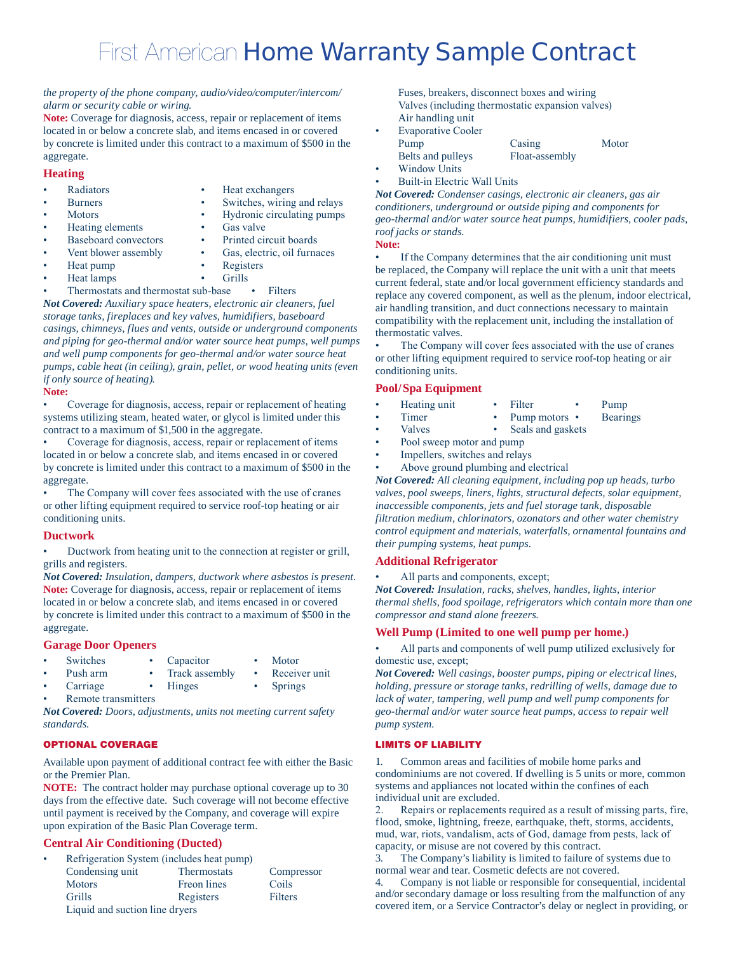# First American Home Warranty Sample Contract

#### *the property of the phone company, audio/video/computer/intercom/ alarm or security cable or wiring.*

**Note:** Coverage for diagnosis, access, repair or replacement of items located in or below a concrete slab, and items encased in or covered by concrete is limited under this contract to a maximum of \$500 in the aggregate.

## **Heating**

- 
- **Parameters • •** Heat exchangers
	- Burners Switches, wiring and relays
- - Motors Hydronic circulating pumps
- Heating elements Gas valve
	- Baseboard convectors Printed circuit boards
- Vent blower assembly **•** Gas, electric, oil furnaces
	-
	-
- Heat pump Registers
	- Heat lamps **•** Grills
	- • Thermostats and thermostat sub-base • Filters

*Not Covered: Auxiliary space heaters, electronic air cleaners, fuel storage tanks, fireplaces and key valves, humidifiers, baseboard casings, chimneys, flues and vents, outside or underground components and piping for geo-thermal and/or water source heat pumps, well pumps and well pump components for geo-thermal and/or water source heat pumps, cable heat (in ceiling), grain, pellet, or wood heating units (even if only source of heating).* 

## **Note:**

Coverage for diagnosis, access, repair or replacement of heating systems utilizing steam, heated water, or glycol is limited under this contract to a maximum of \$1,500 in the aggregate.

Coverage for diagnosis, access, repair or replacement of items located in or below a concrete slab, and items encased in or covered by concrete is limited under this contract to a maximum of \$500 in the aggregate.

The Company will cover fees associated with the use of cranes or other lifting equipment required to service roof-top heating or air conditioning units.

# **Ductwork**

Ductwork from heating unit to the connection at register or grill, grills and registers.

*Not Covered: Insulation, dampers, ductwork where asbestos is present.* **Note:** Coverage for diagnosis, access, repair or replacement of items located in or below a concrete slab, and items encased in or covered by concrete is limited under this contract to a maximum of \$500 in the aggregate.

# **Garage Door Openers**

- 
- Switches Capacitor Motor<br>Push arm Track assembly Receiver unit
- Push arm Track assembly
- Carriage Hinges Springs

Remote transmitters

*Not Covered: Doors, adjustments, units not meeting current safety standards.*

# OPTIONAL COVERAGE

Available upon payment of additional contract fee with either the Basic or the Premier Plan.

**NOTE:** The contract holder may purchase optional coverage up to 30 days from the effective date. Such coverage will not become effective until payment is received by the Company, and coverage will expire upon expiration of the Basic Plan Coverage term.

# **Central Air Conditioning (Ducted)**

| ٠ | Refrigeration System (includes heat pump) |                    |            |  |
|---|-------------------------------------------|--------------------|------------|--|
|   | Condensing unit                           | <b>Thermostats</b> | Compressor |  |
|   | <b>Motors</b>                             | <b>Freon</b> lines | Coils      |  |
|   | <b>Grills</b>                             | Registers          | Filters    |  |
|   | Liquid and suction line dryers            |                    |            |  |

Fuses, breakers, disconnect boxes and wiring Valves (including thermostatic expansion valves) Air handling unit

| ٠ | <b>Evaporative Cooler</b> |                |       |  |
|---|---------------------------|----------------|-------|--|
|   | Pump                      | Casing         | Motor |  |
|   | Belts and pulleys         | Float-assembly |       |  |
|   | Window Units              |                |       |  |

**Built-in Electric Wall Units** 

*Not Covered: Condenser casings, electronic air cleaners, gas air conditioners, underground or outside piping and components for geo-thermal and/or water source heat pumps, humidifiers, cooler pads, roof jacks or stands.*

**Note:** 

If the Company determines that the air conditioning unit must be replaced, the Company will replace the unit with a unit that meets current federal, state and/or local government efficiency standards and replace any covered component, as well as the plenum, indoor electrical, air handling transition, and duct connections necessary to maintain compatibility with the replacement unit, including the installation of thermostatic valves.

The Company will cover fees associated with the use of cranes or other lifting equipment required to service roof-top heating or air conditioning units.

# **Pool/Spa Equipment**

- Heating unit Filter Pump
	- Timer Pump motors Bearings
	- Valves Seals and gaskets
	- Pool sweep motor and pump
	- Impellers, switches and relays
- Above ground plumbing and electrical

*Not Covered: All cleaning equipment, including pop up heads, turbo valves, pool sweeps, liners, lights, structural defects, solar equipment, inaccessible components, jets and fuel storage tank, disposable filtration medium, chlorinators, ozonators and other water chemistry control equipment and materials, waterfalls, ornamental fountains and their pumping systems, heat pumps.*

## **Additional Refrigerator**

All parts and components, except;

*Not Covered: Insulation, racks, shelves, handles, lights, interior thermal shells, food spoilage, refrigerators which contain more than one compressor and stand alone freezers.* 

## **Well Pump (Limited to one well pump per home.)**

All parts and components of well pump utilized exclusively for domestic use, except;

*Not Covered: Well casings, booster pumps, piping or electrical lines, holding, pressure or storage tanks, redrilling of wells, damage due to lack of water, tampering, well pump and well pump components for geo-thermal and/or water source heat pumps, access to repair well pump system.*

## LIMITS OF LIABILITY

1. Common areas and facilities of mobile home parks and condominiums are not covered. If dwelling is 5 units or more, common systems and appliances not located within the confines of each individual unit are excluded.

2. Repairs or replacements required as a result of missing parts, fire, flood, smoke, lightning, freeze, earthquake, theft, storms, accidents, mud, war, riots, vandalism, acts of God, damage from pests, lack of capacity, or misuse are not covered by this contract.

3. The Company's liability is limited to failure of systems due to normal wear and tear. Cosmetic defects are not covered.

4. Company is not liable or responsible for consequential, incidental and/or secondary damage or loss resulting from the malfunction of any covered item, or a Service Contractor's delay or neglect in providing, or